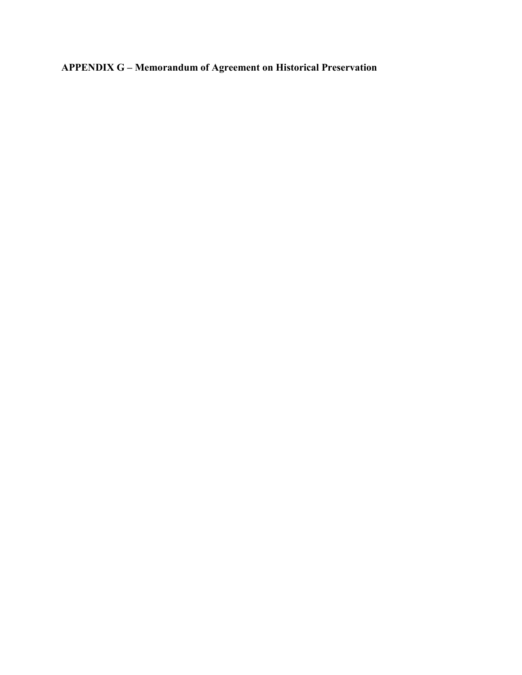**APPENDIX G – Memorandum of Agreement on Historical Preservation**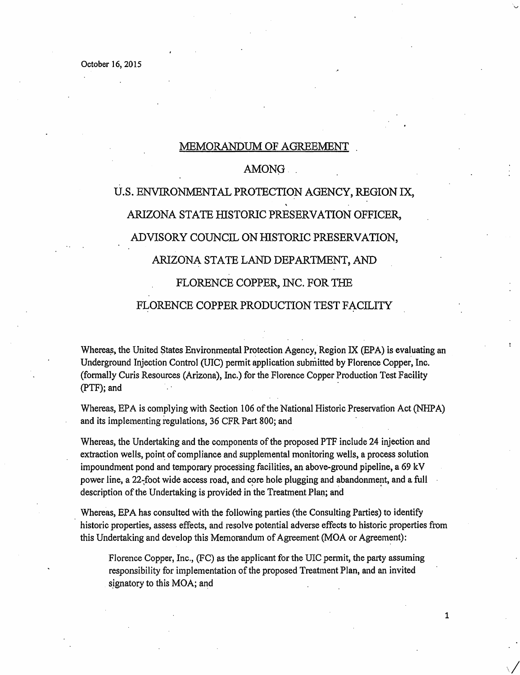#### MEMORANDUM OF AGREEMENT

### AMONG ...

# U.S. ENVIRONMENTAL PROTECTION AGENCY, REGION IX, ARIZONA STATE HISTORIC PRESERVATION OFFICER, ADVISORY COUNCIL ON HISTORIC PRESERVATION, ARIZONA. STATE LAND DEPARTMENT, AND FLORENCE COPPER, INC. FOR THE

#### FLORENCE COPPER PRODUCTION TEST FACILITY

Whereas, the United States Environmental Protection Agency, Region IX (EPA) is evaluating an Underground Injection Control (UIC) permit application submitted by Florence Copper, Inc. (formally Curis Resources (Arizona), Inc.) for the Florence Copper Production Test Facility (PTF); and

Whereas, EPA is complying with Section 106 of the National Historic Preservation Act (NHPA) and its implementing regulations, 36 CFR Part 800; and

Whereas, the Undertaking and the components of the proposed PTF include 24 injection and extraction wells, point of compliance and supplemental monitoring wells, a process solution impoundment pond and temporary processing facilities, an above-ground pipeline, a 69 kV power line, a 22-foot wide access road, and core hole plugging and abandonment, and a full description of the Undertaking is provided in the Treatment Plan; and

Whereas, EPA has consulted with the following parties (the Consulting Parties) to identify historic properties, assess effects, and resolve potential adverse effects to historic properties from this Undertaking and develop this Memorandum of Agreement (MOA or Agreement):

Florence Copper, Inc., (FC) as the applicant for the UIC permit, the party assuming responsibility for implementation of the proposed Treatment Plan, and an invited signatory to this  $MOA$ ; and

1

 $\sqrt{}$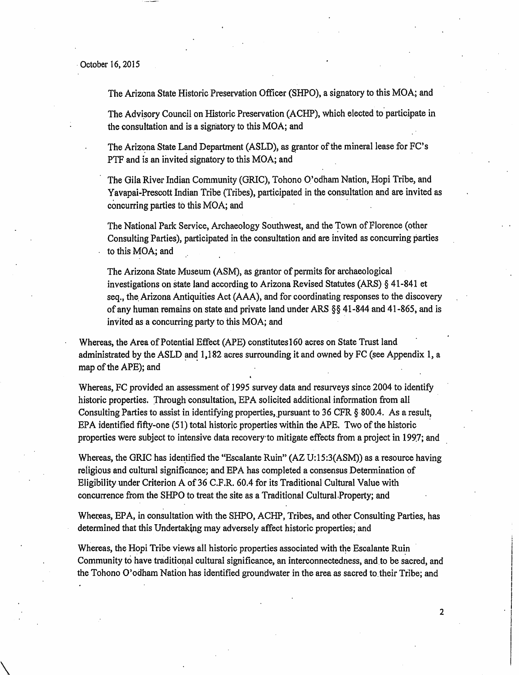$\setminus$ 

The Arizona State Historic Preservation Officer (SHPO), a signatory to this MOA; and

The Advisory Council on Historic Preservation (ACHP), which elected to participate in the consultation and is a signatory to this  $MOA$ ; and

The Arizona State Land Department (ASLD), as grantor of the mineral lease for FC's PTF and is an invited signatory to this MOA; and

The Gila River Indian Community (GRIC), Tohono O'odham Nation, Hopi Tribe, and Yavapai-Prescott Indian Tribe (Tribes), participated in the consultation and are invited as concurring parties to this MOA; and

The National Park Service, Archaeology Southwest, and the Town of Florence (other Consulting Parties), participated in the consultation and are invited as concurring parties to this MOA; and

The Arizona State Museum (ASM), as grantor of permits for archaeological investigations on state land according to Arizona Revised Statutes (ARS) § 41-841 et seq., the. Arizona Antiquities Act (AAA), and for coordinating responses to the discovery of any human remains on state and private land under ARS §§ 41-844 and 41-865, and is invited as a concurring party to this MOA; and

Whereas, the Area of Potential Effect (APE) constitutes160 acres on State Trust land administrated by the ASLD and  $1,182$  acres surrounding it and owned by FC (see Appendix 1, a map of the APE); and

Whereas, FC provided an assessment of 1995 survey data and resurveys since 2004 to identify historic properties. Through consultation, EPA solicited additional information from all Consulting Parties to assist in identifying properties, pursuant to 36 CFR § 800.4. As a result, EPA identified fifty-one (51) total historic properties within the APE. Two of the historic properties were subject to intensive data recovery to mitigate effects from a project in 1997; and

Whereas, the GRIC has identified the "Escalante Ruin" ( $AZ U:15:3(ASM)$ ) as a resource having reiigious and cultural significance; and EPA has completed a consensus Determination of Eligibility under Criterion A of 36 C.F.R. 60.4 for its Traditional Cultural Value with concurrence from the SHPO to treat the site as a Traditional Cultural.Property; and

Whereas, EPA, in consultation with the SHPO, ACHP, Tribes, and other Consulting Parties, has determined that this Undertaking may adversely affect historic propetties; and

Whereas, the Hopi Tribe views all historic properties associated with the Escalante Ruin Community to have traditional cultural significance, an interconnectedness, and to be sacred, and the Tohono O'odham Nation has identified groundwater in the area as sacred to their Tribe; and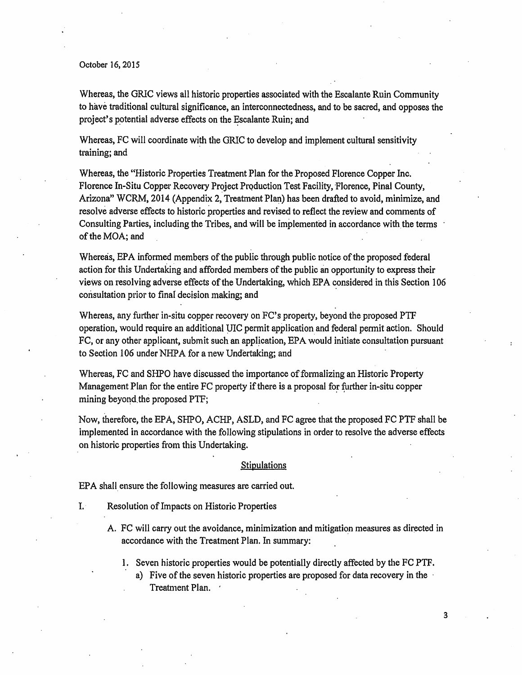Whereas, the GRIC views all historic properties associated with the Escalante Ruin Community to have traditional cultural significance, an interconnectedness, and to be sacred, and opposes the project's potential adverse effects on the Escalante Ruin; and

Whereas, FC will coordinate with the GRIC to develop and implement cultural sensitivity training; and

Whereas, the "Historic Properties Treatment Plan for the Proposed Florence Copper Inc. Florence In-Situ Copper Recovery Project Production Test Facility, Florence, Pinal County, Arizona" WCRM, 2014 (Appendix 2, Treatment Plan) has been drafted to avoid, minimize, and resolve adverse effects to historic properties and revised to reflect the review and comments of Consulting Parties, including the Tribes, and will be implemented in accordance with the terms of the MOA; and

Whereas, EPA informed members of the public through public notice of the proposed federal action for this Undertaking and afforded members of the public an opportunity to express their views on resolving adverse effects of the Undertaking, which EPA considered in this Section 106 consultation prior to final decision making; and

Whereas, any further in-situ copper recovery on FC's property, beyond the proposed PTF operation, would require an additional YIC permit application. and federal pennit action. Should FC, or any other applicant, submit such an application, EPA would initiate consultation pursuant to Section 106 under NHPA for a new Undertaking; and

Whereas, FC and SHPO have discussed the importance of formalizing an Historic Property Management Plan for the entire FC property if there is a proposal for further in-situ copper mining beyond the proposed PTF;

Now, therefore, the EPA, SHPO, ACHP, ASLD, and FC agree that the proposed FC PTF shall be implemented in accordance with the following stipulations in order to resolve the adverse effects on historic properties from this Undertaking.

#### **Stipulations**

EPA shall ensure the following measures are carried out.

- I. Resolution of Impacts on Historic Properties
	- A. FC will carry out the avoidance, minimization and mitigation measures as directed in accordance with the Treatment Plan. In summary:
		- 1. Seven historic properties would be potentially directly affected by the FC PTF.
			- a) Five of the seven historic properties are proposed for data recovery in the  $\cdot$ Treatment Plan. .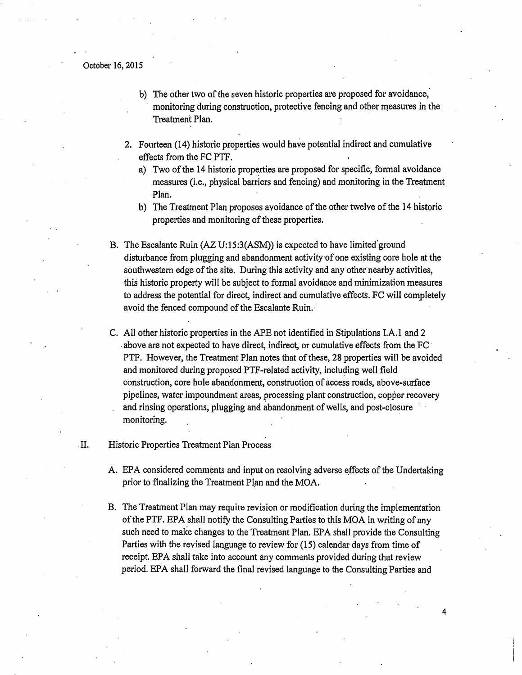- b) The other two of the seven historic properties are proposed for avoidance, monitoring during construction, protective fencing and other measures in the Treatment Plan.
- 2. Fourteen (14) historic properties would have potential indirect and cumulative effects from the FC PTF.
	- a) Two of the 14 historic properties are proposed for specific, formal avoidance measures (i.e., physical barriers and fencing) and monitoring in the Treatment Plan.
	- b) The Treatment Plan proposes avoidance of the other twelve of the 14 historic properties and monitoring of these properties.
- B. The Escalante Ruin (AZ U:15:3(ASM)) is expected to have limited ground disturbance from plugging and abandonment activity of one existing core hole at the southwestern edge of the site. During this activity and any other nearby activities, this historic property will be subject to formal avoidance and minimization measures to address the potential for direct, indirect and cumulative effects. FC will completely avoid the fenced compound of the Escalante Ruin.
- C. All other historic properties in the APE not identified in Stipulations I.A.1 and 2 . above are not expected to have direct, indirect, or cumulative effects from the FC · PTF. However, the Treatment Plan notes that of these, 28 properties will be avoided and monitored during proposed PTF-related activity, including well field construction, core hole abandonment, construction of access roads, above-surface pipelines, water impoundment areas, processing plant construction, copper recovery and rinsing operations, plugging and abandonment of wells, and post-closure monitoring.

#### . II. Historic Properties Treatment Plan Process

- A. EPA considered comments and input on resolving adverse effects of the Undertaking prior to finalizing the Treatment Plan and the MOA.
- B. The Treatment Plan may require revision or modification during the implementation of the PTF. EPA shall notify the Consulting Parties to this MOA in writing of any such need to make changes to the Treatment Plan. EPA shall provide the Consulting Parties with the revised language to review for (15) calendar days from time of receipt. EPA shall take into account any comments provided during that review period. EPA shaII forward the final revised language to the Consulting Parties and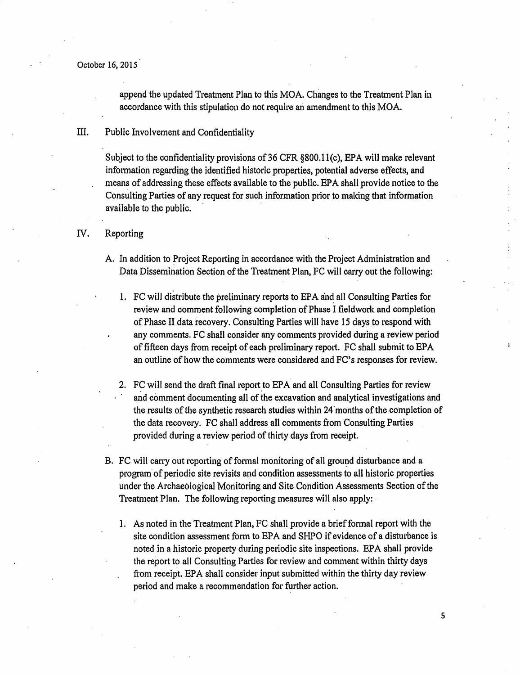append the updated Treatment Plan to this MOA. Changes to the Treatment Plan in accordance with this stipulation do not require an amendment to this MOA.

#### III. Public Involvement and Confidentiality

Subject to the confidentiality provisions of 36 CFR §800.11(c), EPA will make relevant information regarding the identified historic properties, potential adverse effects, and means of addressing these effects available to the public. EPA shall provide notice to the Consulting Parties of any request for such information prior to making that information available to the public.

#### IV. Reporting

- A. In addition to Project Reporting in accordance with the Project Administration and Data Dissemination Section of the Treatment Plan, FC will carry out the following:
	- 1. FC will distribute the preliminary reports to EPA and all Consulting Parties for review and comment following completion of Phase I fieldwork and completion of Phase II data recovery. Consulting Parties will have 15 days to respond with any comments. FC shall consider any comments provided during a review period of fifteen days from receipt of each preliminary report. FC shall submit to BPA an outline of how the comments were considered and PC's responses for review.
	- 2. FC will send the draft final report to EPA and all Consulting Parties for review and comment documenting all of the excavation and analytical investigations and the results of the synthetic research studies within 24 months of the completion of the data recovery. FC shall address all comments from Consulting Parties provided during a review period of thirty days from receipt.
- B. FC will carry out reporting of formal monitoring of all ground disturbance and a program of periodic site revisits and condition assessments to all historic properties under the Archaeological Monitoring and Site Condition Assessments Section of the Treatment Plan. The following reporting measures will also apply:
	- 1. As noted in the Treatment Plan, FC shall provide a brief formal report with the site condition assessment form to EPA and SHPO if evidence of a disturbance is noted in a historic property during periodic site inspections. EPA shall provide the report to all Consulting Parties for review and comment within thitty days from receipt. BPA shall consider input submitted within the thirty day review period and make a recommendation for further action.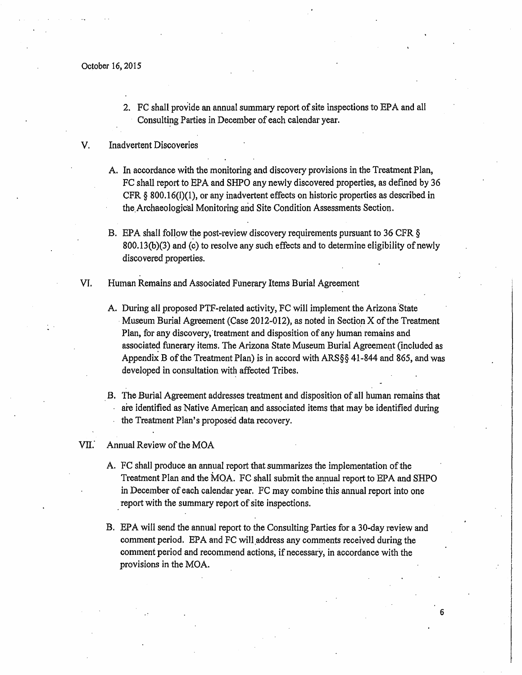2. FC shall provide an annual summary report of site inspections to EPA and all Consulting Parties in December of each calendar year.

#### V. Inadvertent Discoveries

- A. In accordance with the monitoring and discovery provisions in the Treatment Plan, FC shall report to EPA and SHPO any newly discovered properties, as defined by 36 CFR § 800.16(1)(1), or any inadvertent effects on historic properties as described in the Archaeological Monitoring and Site Condition Assessments Section.
- B. EPA shall follow the post-review discovery requirements pursuant to 36 CFR  $\S$ 800.13(b){3) and (c) to resolve any such effects and to determine eligibility of newly discovered properties.
- VI. Human Remains and Associated Funerary Items Burial Agreement
	- A. During all proposed PTF-related activity, FC will implement the Arizona State Museum Burial Agreement (Case 2012-012), as noted in Section  $X$  of the Treatment Plan, for any discovery, treatment and disposition of any human remains and associated funerary items. The Arizona State Museum Burial Agreement (included as Appendix B of the Treatment Plan) is in accord with ARS§§ 41-844 and 865, and was developed in consultation with affected Tribes.
	- B. The Burial Agreement addresses treatment and disposition of all human remains that are identified as Native American and associated items that may be identified during the Treatment Plan's proposed data recovery.

#### VII. Annual Review of the MOA

- A. FC shall produce an annual report that summarizes the implementation of the Treatment Plan and the MOA. FC shall submit the annual report to EPA and SHPO in December of each calendar year. PC may combine this annual report into one report with the summary report of site inspections.
- B. EPA will send the annual report to the Consulting Parties for a 30-day review and comment period. EPA and FC will address any comments received during the comment period and recommend actions, if necessary, in accordance with the provisions in the MOA.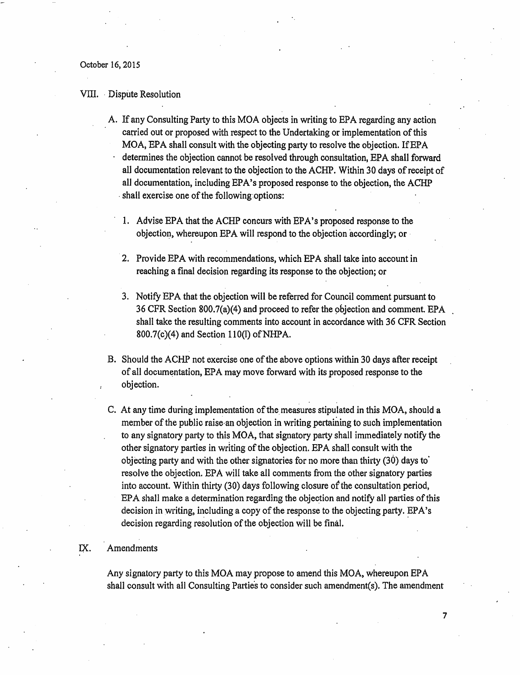#### VIII. Dispute Resolution

- A. If any Consulting Patty to this MOA objects in writing to EPA regarding any action carried out or proposed with respect to the Undertaking or implementation of this MOA, EPA shall consult with the objecting party to resolve the objection. If EPA determines the objection cannot be resolved through consultation, EPA shall forward all documentation relevant to the objection to the ACHP. Within 30 days ofreceipt of all documentation, including EPA's proposed response to the objection, the ACHP · shall exercise one of the following options:
	- 1. Advise EPA that the ACHP concurs with EPA's proposed response to the objection, whereupon EPA will respond to the objection accordingly; or
	- 2. Provide EPA with recommendations, which EPA shall take into account in reaching a final decision regarding its response to the objection; or
	- 3. Notify EPA that the objection will be referred for Council comment pursuant to 36 CFR Section 800.7(a)(4) and proceed to refer the objection and comment. EPA shall take the resulting comments into account in accordance with 36 CFR Section  $800.7(c)(4)$  and Section 110(1) of NHPA.
- B. Should the ACHP not exercise one of the above options within 30 days after receipt of all documentation, EPA may move forward with its proposed response to the objection.
- C. At any time during implementation of the measures stipulated in this MOA, should a member of the public raise an objection in writing pertaining to such implementation to any signatory party to this MOA, that signatory party shall immediately notify the other signatory parties in writing of the objection. EPA shall consult with the objecting party and with the other signatories for no more than thirty  $(30)$  days to resolve the objection. EPA will take all comments from the other signatory parties into account. Within thirty (30) days following closure of the consultation period,  $EPA$  shall make a determination regarding the objection and notify all parties of this decision in writing, including a copy of the response to the objecting party. EPA's decision regarding resolution of the objection will be final.

#### IX. Amendments

Any signatory party to this MOA may propose to amend this MOA, whereupon EPA shall consult with all Consulting Parties to consider such amendment(s). The amendment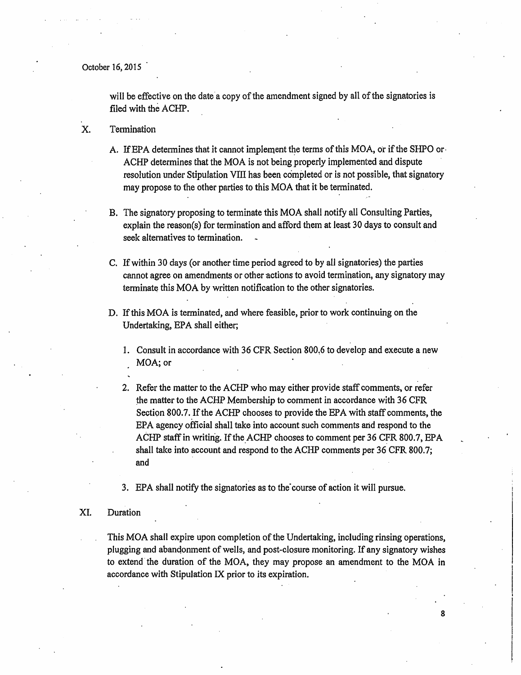will be effective on the date a copy of the amendment signed by all of the signatories is filed with the ACHP.

- X. Termination
	- A. If EPA determines that it cannot implement the terms of this MOA, or if the SHPO or-ACHP determines that the MOA is not being properly implemented and dispute resolution under Stipulation VITI has been completed or is not possible, that signatory may propose to the other parties to this MOA that it be terminated.
	- B. The signatory proposing to terminate this MOA shall notify all Consulting Parties, explain the reason(s) for termination and afford them at least 30 days to consult and seek altematives to termination.
	- C. If within 30 days (or another time period agreed to by all signatories) the parties cannot agree on amendments or other actions to avoid termination, any signatory may terminate this MOA by written notification to the other signatories.
	- D. If this MOA is terminated, and where feasible, prior to work continuing on the Undertaking, EPA shall either;
		- 1. Consult in accordance with 36 CFR Section 800.6 to develop and execute a new MOA; or
		- 2. Refer the matter to the ACHP who may either provide staff comments, or refer the matter to the ACHP Membership to comment in accordance with 36 CFR Section 800.7. If the ACHP chooses to provide the EPA with staff comments, the EPA agency official shall take into account such comments and respond to the ACHP staff in writing. If the ACHP chooses to comment per 36 CFR 800.7, EPA shall take into account and respond to the ACHP comments per 36 CFR 800.7; and

3. EPA shall notify the signatories as to the course of action it will pursue.

#### XI. Duration

This MOA shall expire upon completion of the Undertaking, including rinsing operations, plugging and abanqonment of wells, and post-closure monitoring. Ifany signatory wishes to extend the duration of the MOA, they may propose an amendment to the MOA in accordance with Stipulation IX prior to its expiration.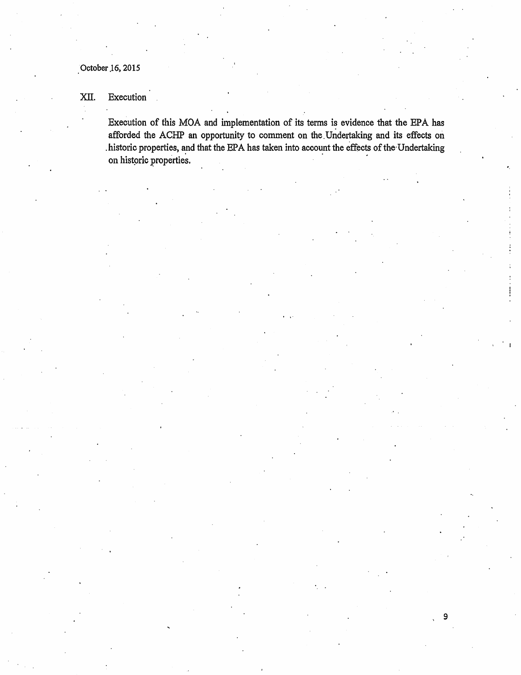### XII. Execution

Execution of this MOA and implementation of its terms is evidence that the EPA has afforded the ACHP an opportunity to comment on the. Undertaking and its effects on .historic properties, and that the EPA has taken into account the effects of the Undertaking on historic properties.

•.

) 9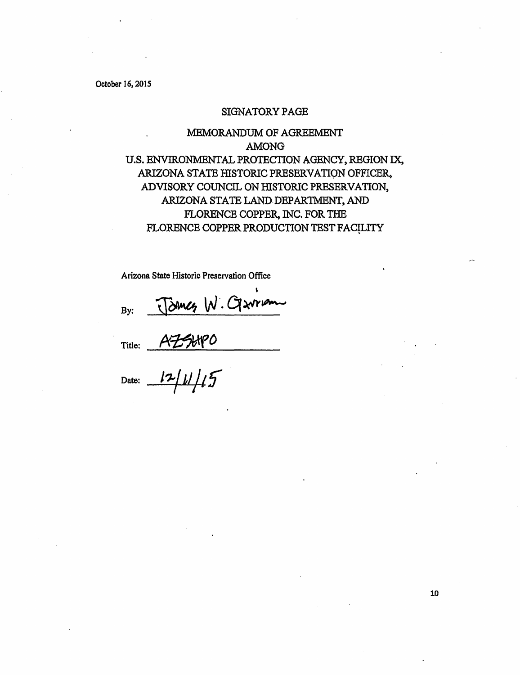#### SIGNATORY PAGE

## MEMORANDUM OF AGREEMENT AMONG U.S. ENVIRONMENTAL PROTECTION AGENCY, REGION IX, ARIZONA STATE HISTORIC PRESERVATION OFFICER, ADVISORY COUNCIL ON HISTORIC PRESERVATION, ARIZONA STATE LAND DEPARTMENT, AND FLORENCE COPPER, INC. FOR THE FLORENCE COPPER PRODUCTION TEST FACILITY

Arizona State Historic Preservation Office

By: By:  $\frac{12}{100}W \cdot Q \cdot W$ <br>Title:  $A \neq H P O$ 

Title: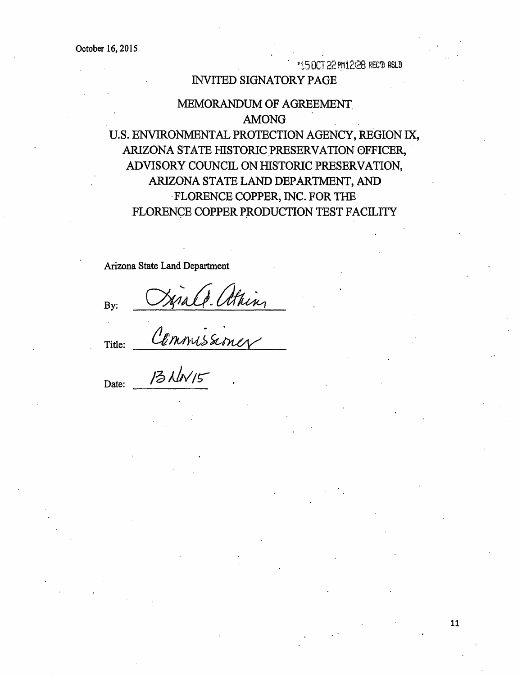• *<sup>1</sup>*'i r; nr·1 ?? PM 1.-':28- itF:•n P.~Ln .... *•..r* U\a: : '-"'• • . • *c* .....,.,,. " . :\JI

### INVITED SIGNATORY PAGE

### :MEMORANDUM OF AGREEMENT. AMONG

U.S. ENVIRONMENTAL PROTECTION AGENCY, REGION IX, ARIZONA STATE HISTORIC PRESERVATION OFFICER, ADVISORY COUNCIL ON HISTORIC PRESERVATION, ARIZONA STATE LAND DEPARTMENT, AND ·FLORENCE COPPER, INC. FOR THE FLORENCE COPPER PRODUCTION TEST FACILITY

Arizona State Land Department

Cannissiner<br>Commissiner .By:

Title:

Date: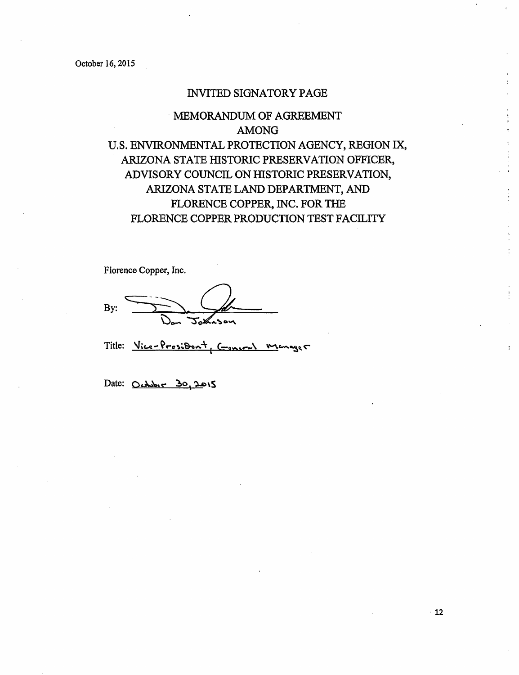### INVITED SIGNATORY PAGE

# MEMORANDUM OF AGREEMENT AMONG U.S. ENVIRONMENTAL PROTECTION AGENCY, REGION IX, ARIZONA STATE HISTORIC PRESERVATION OFFICER, ADVISORY COUNCIL ON HISTORIC PRESERVATION, ARIZONA STATE LAND DEPARTMENT, AND FLORENCE COPPER, INC. FOR THE FLORENCE COPPER PRODUCTION TEST FACILITY

Florence Copper, Inc.

By:

Title: Vice-President, Concret mage 5

Date:  $O.486 - 30.2015$ 

 $\bullet$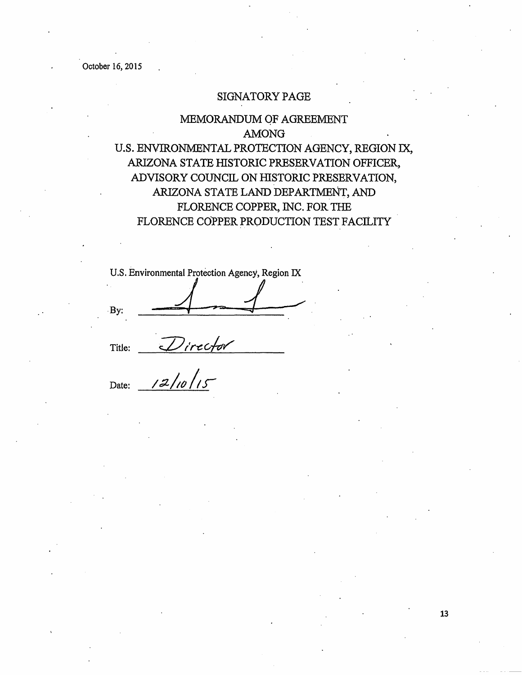### SIGNATORY PAGE

# MEMORANDUM OF AGREEMENT AMONG U.S. ENVIRONMENTAL PROTECTION AGENCY, REGION IX, ARIZONA STATE HISTORIC PRESERVATION OFFICER, ADVISORY COUNCIL ON HISTORIC PRESERVATION, ARIZONA STATE LAND DEPARTMENT, AND FLORENCE COPPER, INC. FOR THE FLORENCE COPPER PRODUCTION TEST FACILITY

U.S. Environmental Protection Agency, Region IX

By:

Title:

 $Direchr$ Date: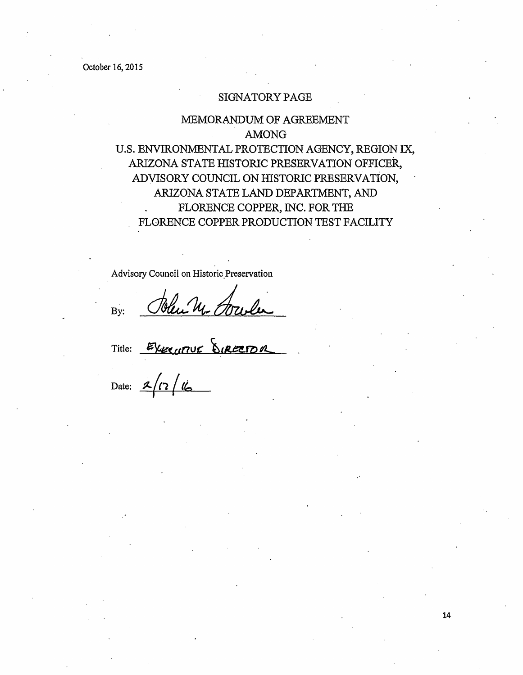### SIGNATORY PAGE

# MEMORANDUM OF AGREEMENT AMONG U.S. ENVIRONMENTAL PROTECTION AGENCY, REGION IX, ARIZONA STATE HISTORIC PRESERVATION OFFICER, ADYISORY COUNCIL ON HISTORIC PRESERVATION, ARIZONA STATE LAND DEPARTMENT, AND FLORENCE COPPER, INC. FOR THE FLORENCE COPPER PRODUCTION TEST FACILITY

Advisory Council on Historic Preservation

By:

Title:

Date: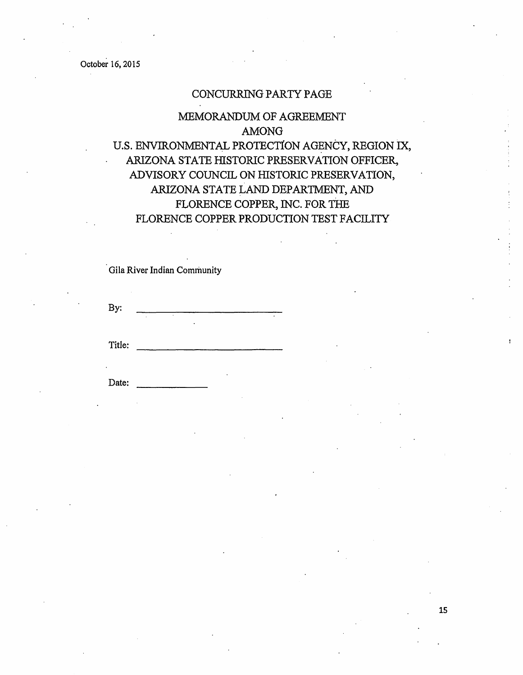### CONCURRING PARTY PAGE

# MEMORANDUM OF AGREEMENT AMONG U.S. ENVIRONMENTAL PROTECTION AGENCY, REGION IX, ARIZONA STATE HISTORIC PRESERVATION OFFICER, ADVISORY COUNCIL ON HISTORIC PRESERVATION, ARIZONA STATE LAND DEPARTMENT, AND FLORENCE COPPER, INC. FOR THE FLORENCE COPPER PRODUCTION TEST FACILITY

Gila River Indian Community

By:

Title: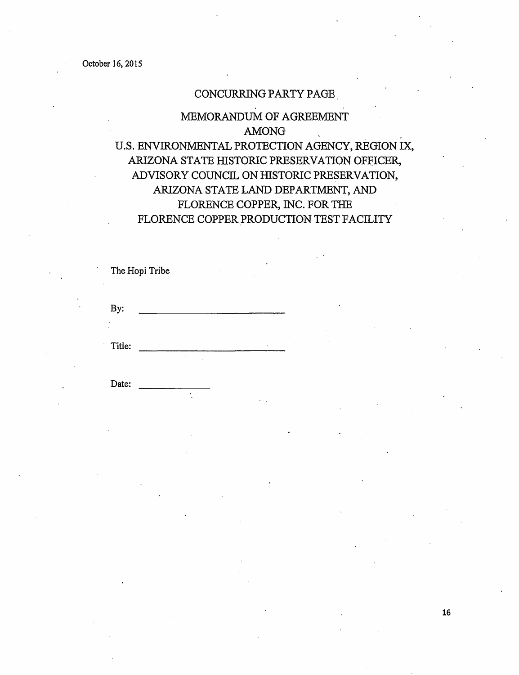Date:

### CONCURRING PARTY PAGE .

# MEMORANDUM OF AGREEMENT AMONG . · U.S. ENVIRONMENTAL PROTECTION AGENCY, REGION IX, ARIZONA STATE HISTORIC PRESERVATION OFFICER, ADVISORY COUNCIL ON HISTORIC PRESERVATION, ARIZONA STATE LAND DEPARTMENT, AND FLORENCE COPPER, INC. FOR THE FLORENCE COPPER PRODUCTION TEST FACILITY

|        | The Hopi Tribe |  | ٠       |  |
|--------|----------------|--|---------|--|
| By:    |                |  |         |  |
| Title: |                |  | $\cdot$ |  |

 $\ddot{\phantom{0}}$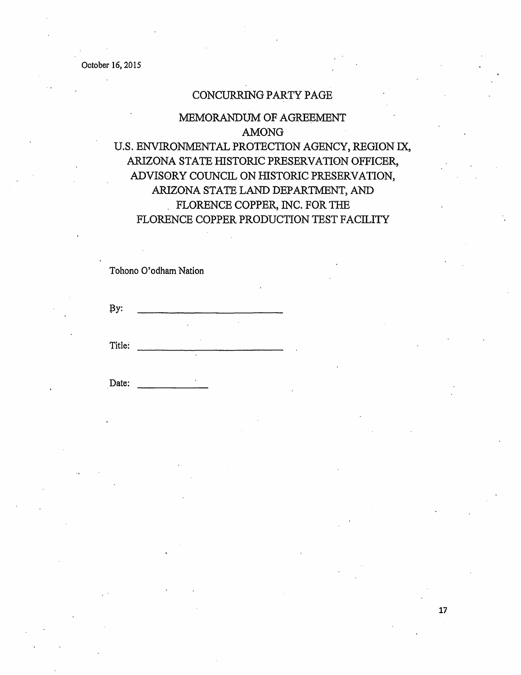### CONCURRING PARTY PAGE

# MEMORANDUM OF AGREEMENT AMONG U.S. ENVIRONMENTAL PROTECTION AGENCY, REGION IX, ARIZONA STATE HISTORIC PRESERVATION OFFICER, ADVISORY COUNCIL ON HISTORIC PRESERVATION, ARIZONA STATE LAND DEPARTMENT, AND . FLORENCE COPPER, INC. FOR THE

### FLORENCE COPPER PRODUCTION TEST FACILITY

### Tohono O'odham Nation

l3y:

Title: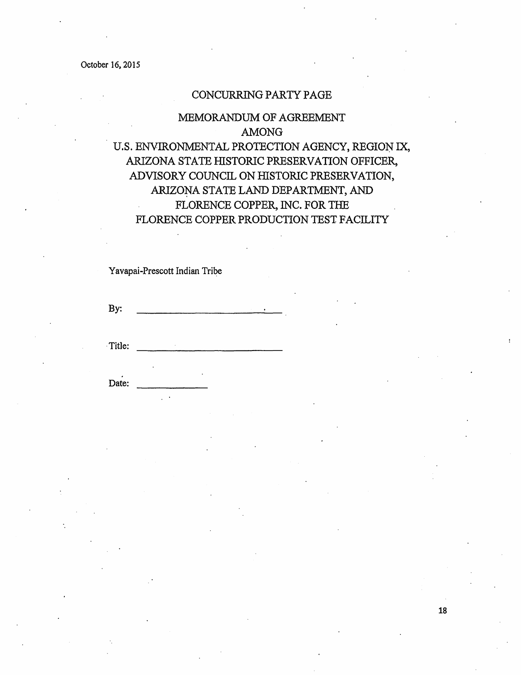### CONCURRING PARTY PAGE

# MEMORANDUM OF AGREEMENT AMONG U.S. ENVIRONMENTAL PROTECTION AGENCY, REGION IX, ARIZONA STATE HISTORIC PRESERVATION OFFICER, ADVISORY COUNCIL ON HISTORIC PRESERVATION, ARIZONA STATE LAND DEPARTMENT, AND FLORENCE COPPER, INC. FOR THE FLORENCE COPPER PRODUCTION TEST FACILITY

Yavapai-Prescott Indian Tribe

By:

·Title: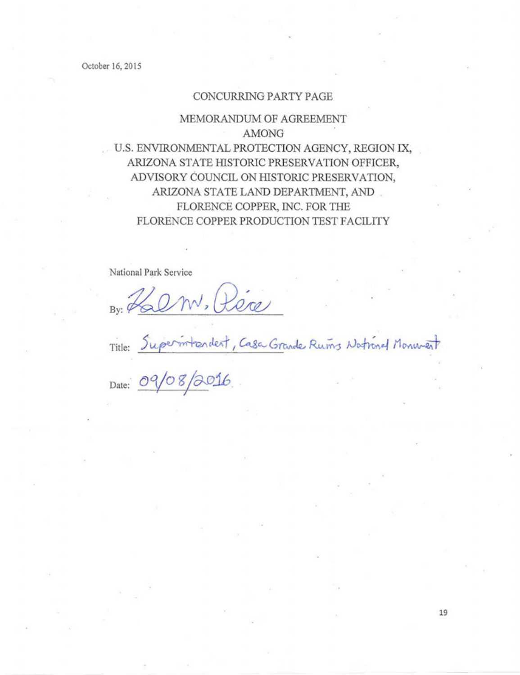#### CONCURRING PARTY PAGE

# MEMORANDUM OF AGREEMENT AMONG U.S. ENVIRONMENTAL PROTECTION AGENCY, REGION IX, ARIZONA STATE HISTORIC PRESERVATION OFFICER, ADVISORY COUNCIL ON HISTORIC PRESERVATION, ARIZONA STATE LAND DEPARTMENT, AND .

# FLORENCE COPPER, INC. FOR THE FLORENCE COPPER PRODUCTION TEST FACILITY

National Park Service

By: Halm, Réce

Title: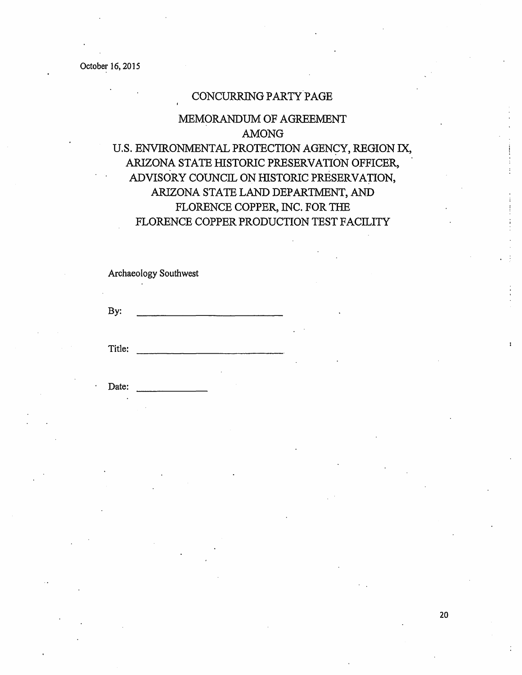### CONCURRING PARTY PAGE

# MEMORANDUM OF AGREEMENT AMONG U.S. ENVIRONMENTAL PROTECTION AGENCY, REGION IX, ARIZONA STATE HISTORIC PRESERVATION OFFICER,

# ADVISORY COUNCIL ON HISTORIC PRESERVATION, ARIZONA STATE LAND DEPARTMENT, AND FLORENCE COPPER, INC. FOR THE FLORENCE COPPER PRODUCTION TEST FACILITY

Archaeology Southwest

By:

Title: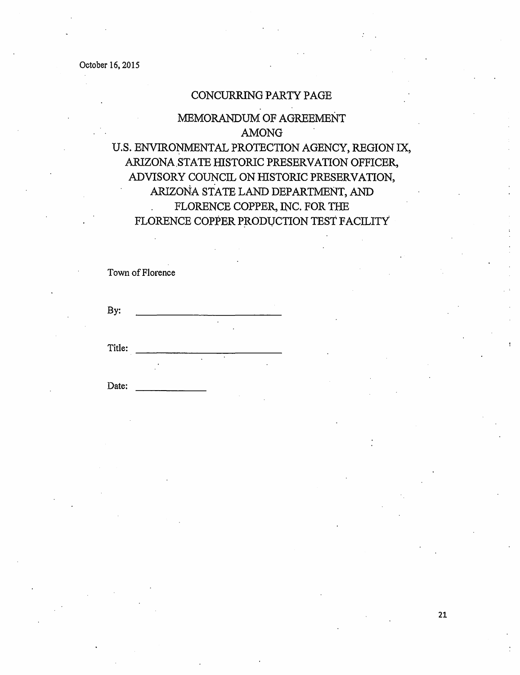### CONCURRING PARTY PAGE

### :MEMORANDUM OF AGREEMENT AMONG U.S. ENVIRONMENTAL PROTECTION AGENCY, REGION IX, ARIZONA.STATE HISTORIC PRESERVATION OFFICER, ADVISORY COUNCIL ON HISTORIC PRESERVATION, ARIZONA STATE LAND DEPARTMENT, AND FLORENCE COPPER, INC. FOR THE  $\ddot{\phantom{a}}$ FLORENCE COPPER PRODUCTION TEST FACILITY

Town of Florence

By:

Title:

Date: